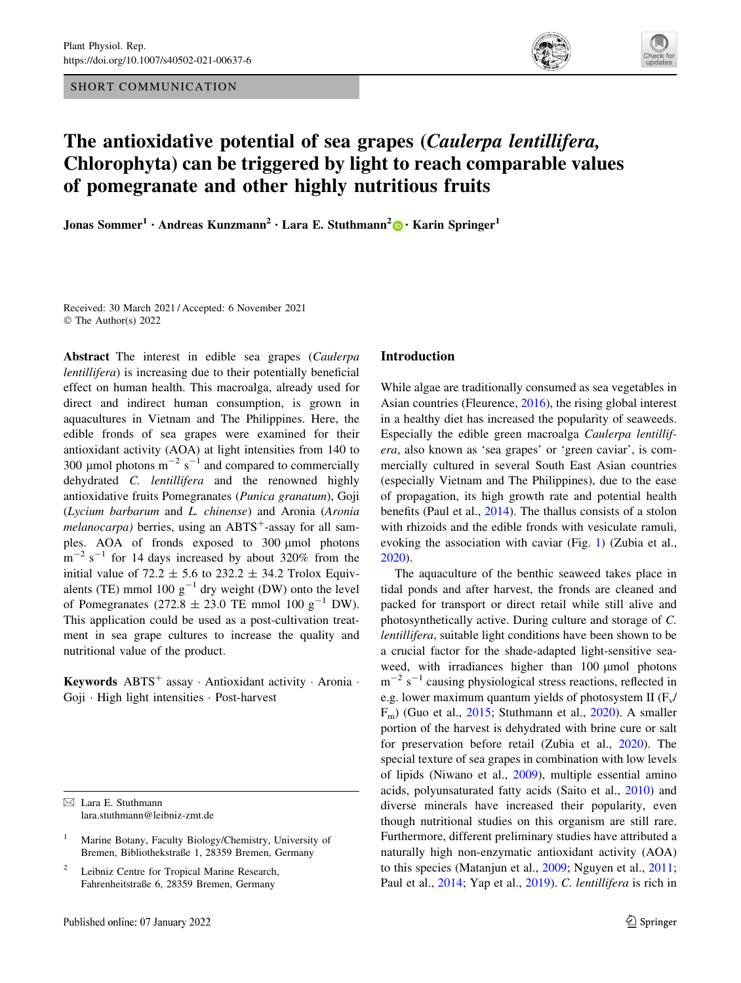SHORT COMMUNICATION





# The antioxidative potential of sea grapes (Caulerpa lentillifera, Chlorophyta) can be triggered by light to reach comparable values of pomegranate and other highly nutritious fruits

Jonas Sommer<sup>1</sup> • Andreas Kunzmann<sup>2</sup> • Lara E. Stuthmann<sup>2</sup> • Karin Springer<sup>1</sup>

Received: 30 March 2021 / Accepted: 6 November 2021 © The Author(s) 2022

Abstract The interest in edible sea grapes (Caulerpa lentillifera) is increasing due to their potentially beneficial effect on human health. This macroalga, already used for direct and indirect human consumption, is grown in aquacultures in Vietnam and The Philippines. Here, the edible fronds of sea grapes were examined for their antioxidant activity (AOA) at light intensities from 140 to 300 µmol photons  $m^{-2}$  s<sup>-1</sup> and compared to commercially dehydrated C. lentillifera and the renowned highly antioxidative fruits Pomegranates (Punica granatum), Goji (Lycium barbarum and L. chinense) and Aronia (Aronia *melanocarpa*) berries, using an ABTS<sup>+</sup>-assay for all samples. AOA of fronds exposed to 300 µmol photons  $m^{-2}$  s<sup>-1</sup> for 14 days increased by about 320% from the initial value of 72.2  $\pm$  5.6 to 232.2  $\pm$  34.2 Trolox Equivalents (TE) mmol 100  $g^{-1}$  dry weight (DW) onto the level of Pomegranates (272.8  $\pm$  23.0 TE mmol 100 g<sup>-1</sup> DW). This application could be used as a post-cultivation treatment in sea grape cultures to increase the quality and nutritional value of the product.

Keywords ABTS<sup>+</sup> assay · Antioxidant activity · Aronia · Goji - High light intensities - Post-harvest

 $\boxtimes$  Lara E. Stuthmann lara.stuthmann@leibniz-zmt.de

## Introduction

While algae are traditionally consumed as sea vegetables in Asian countries (Fleurence, [2016\)](#page-4-0), the rising global interest in a healthy diet has increased the popularity of seaweeds. Especially the edible green macroalga Caulerpa lentillifera, also known as 'sea grapes' or 'green caviar', is commercially cultured in several South East Asian countries (especially Vietnam and The Philippines), due to the ease of propagation, its high growth rate and potential health benefits (Paul et al., [2014\)](#page-4-0). The thallus consists of a stolon with rhizoids and the edible fronds with vesiculate ramuli, evoking the association with caviar (Fig. [1](#page-1-0)) (Zubia et al., [2020](#page-5-0)).

The aquaculture of the benthic seaweed takes place in tidal ponds and after harvest, the fronds are cleaned and packed for transport or direct retail while still alive and photosynthetically active. During culture and storage of C. lentillifera, suitable light conditions have been shown to be a crucial factor for the shade-adapted light-sensitive seaweed, with irradiances higher than  $100 \mu$ mol photons  $m^{-2}$  s<sup>-1</sup> causing physiological stress reactions, reflected in e.g. lower maximum quantum yields of photosystem II ( $F_v$ /  $F_m$ ) (Guo et al., [2015;](#page-4-0) Stuthmann et al., [2020\)](#page-5-0). A smaller portion of the harvest is dehydrated with brine cure or salt for preservation before retail (Zubia et al., [2020](#page-5-0)). The special texture of sea grapes in combination with low levels of lipids (Niwano et al., [2009\)](#page-4-0), multiple essential amino acids, polyunsaturated fatty acids (Saito et al., [2010\)](#page-5-0) and diverse minerals have increased their popularity, even though nutritional studies on this organism are still rare. Furthermore, different preliminary studies have attributed a naturally high non-enzymatic antioxidant activity (AOA) to this species (Matanjun et al., [2009;](#page-4-0) Nguyen et al., [2011](#page-4-0); Paul et al., [2014](#page-4-0); Yap et al., [2019](#page-5-0)). C. lentillifera is rich in

Marine Botany, Faculty Biology/Chemistry, University of Bremen, Bibliothekstraße 1, 28359 Bremen, Germany

<sup>2</sup> Leibniz Centre for Tropical Marine Research, Fahrenheitstraße 6, 28359 Bremen, Germany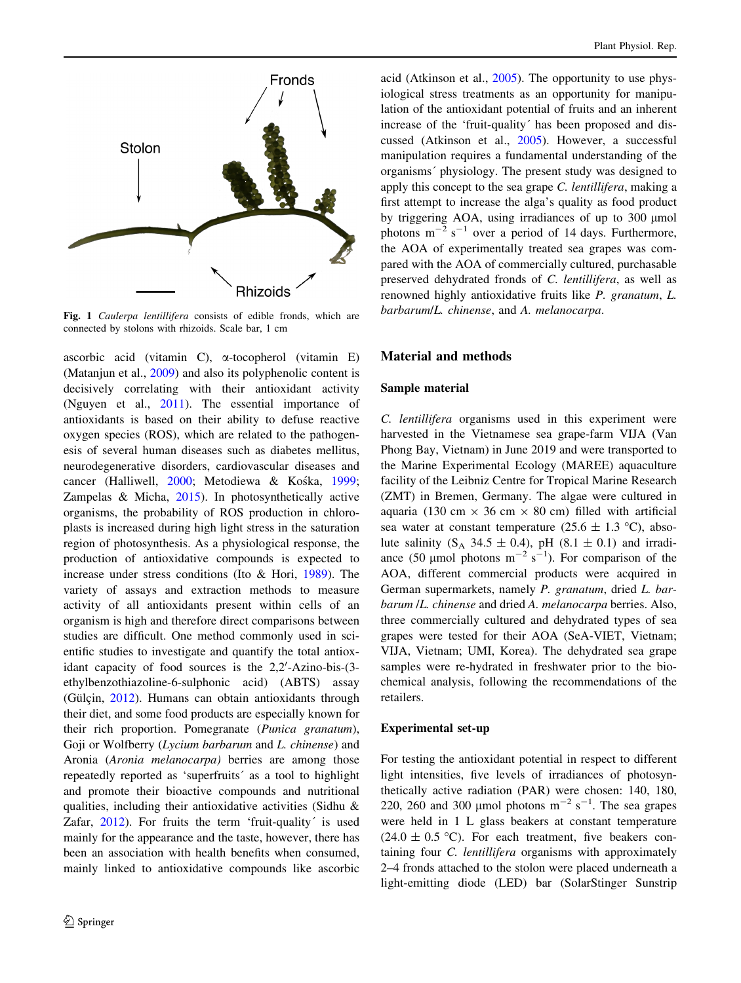<span id="page-1-0"></span>

Fig. 1 Caulerpa lentillifera consists of edible fronds, which are connected by stolons with rhizoids. Scale bar, 1 cm

ascorbic acid (vitamin C), a-tocopherol (vitamin E) (Matanjun et al., [2009\)](#page-4-0) and also its polyphenolic content is decisively correlating with their antioxidant activity (Nguyen et al., [2011\)](#page-4-0). The essential importance of antioxidants is based on their ability to defuse reactive oxygen species (ROS), which are related to the pathogenesis of several human diseases such as diabetes mellitus, neurodegenerative disorders, cardiovascular diseases and cancer (Halliwell, [2000](#page-4-0); Metodiewa & Kośka, [1999](#page-4-0); Zampelas & Micha, [2015](#page-5-0)). In photosynthetically active organisms, the probability of ROS production in chloroplasts is increased during high light stress in the saturation region of photosynthesis. As a physiological response, the production of antioxidative compounds is expected to increase under stress conditions (Ito & Hori, [1989](#page-4-0)). The variety of assays and extraction methods to measure activity of all antioxidants present within cells of an organism is high and therefore direct comparisons between studies are difficult. One method commonly used in scientific studies to investigate and quantify the total antioxidant capacity of food sources is the 2,2'-Azino-bis-(3ethylbenzothiazoline-6-sulphonic acid) (ABTS) assay (Gülçin, [2012\)](#page-4-0). Humans can obtain antioxidants through their diet, and some food products are especially known for their rich proportion. Pomegranate (Punica granatum), Goji or Wolfberry (Lycium barbarum and L. chinense) and Aronia (Aronia melanocarpa) berries are among those repeatedly reported as 'superfruits' as a tool to highlight and promote their bioactive compounds and nutritional qualities, including their antioxidative activities (Sidhu & Zafar,  $2012$ ). For fruits the term 'fruit-quality' is used mainly for the appearance and the taste, however, there has been an association with health benefits when consumed, mainly linked to antioxidative compounds like ascorbic

acid (Atkinson et al., [2005\)](#page-4-0). The opportunity to use physiological stress treatments as an opportunity for manipulation of the antioxidant potential of fruits and an inherent increase of the 'fruit-quality' has been proposed and discussed (Atkinson et al., [2005\)](#page-4-0). However, a successful manipulation requires a fundamental understanding of the organisms' physiology. The present study was designed to apply this concept to the sea grape C. lentillifera, making a first attempt to increase the alga's quality as food product by triggering AOA, using irradiances of up to 300 µmol photons  $m^{-2}$  s<sup>-1</sup> over a period of 14 days. Furthermore, the AOA of experimentally treated sea grapes was compared with the AOA of commercially cultured, purchasable preserved dehydrated fronds of C. lentillifera, as well as renowned highly antioxidative fruits like P. granatum, L. barbarum/L. chinense, and A. melanocarpa.

## Material and methods

## Sample material

C. lentillifera organisms used in this experiment were harvested in the Vietnamese sea grape-farm VIJA (Van Phong Bay, Vietnam) in June 2019 and were transported to the Marine Experimental Ecology (MAREE) aquaculture facility of the Leibniz Centre for Tropical Marine Research (ZMT) in Bremen, Germany. The algae were cultured in aquaria (130 cm  $\times$  36 cm  $\times$  80 cm) filled with artificial sea water at constant temperature (25.6  $\pm$  1.3 °C), absolute salinity  $(S_A 34.5 \pm 0.4)$ , pH  $(8.1 \pm 0.1)$  and irradiance (50 µmol photons  $m^{-2}$  s<sup>-1</sup>). For comparison of the AOA, different commercial products were acquired in German supermarkets, namely P. granatum, dried L. barbarum /L. chinense and dried A. melanocarpa berries. Also, three commercially cultured and dehydrated types of sea grapes were tested for their AOA (SeA-VIET, Vietnam; VIJA, Vietnam; UMI, Korea). The dehydrated sea grape samples were re-hydrated in freshwater prior to the biochemical analysis, following the recommendations of the retailers.

#### Experimental set-up

For testing the antioxidant potential in respect to different light intensities, five levels of irradiances of photosynthetically active radiation (PAR) were chosen: 140, 180, 220, 260 and 300 µmol photons  $m^{-2}$  s<sup>-1</sup>. The sea grapes were held in 1 L glass beakers at constant temperature  $(24.0 \pm 0.5 \degree C)$ . For each treatment, five beakers containing four C. lentillifera organisms with approximately 2–4 fronds attached to the stolon were placed underneath a light-emitting diode (LED) bar (SolarStinger Sunstrip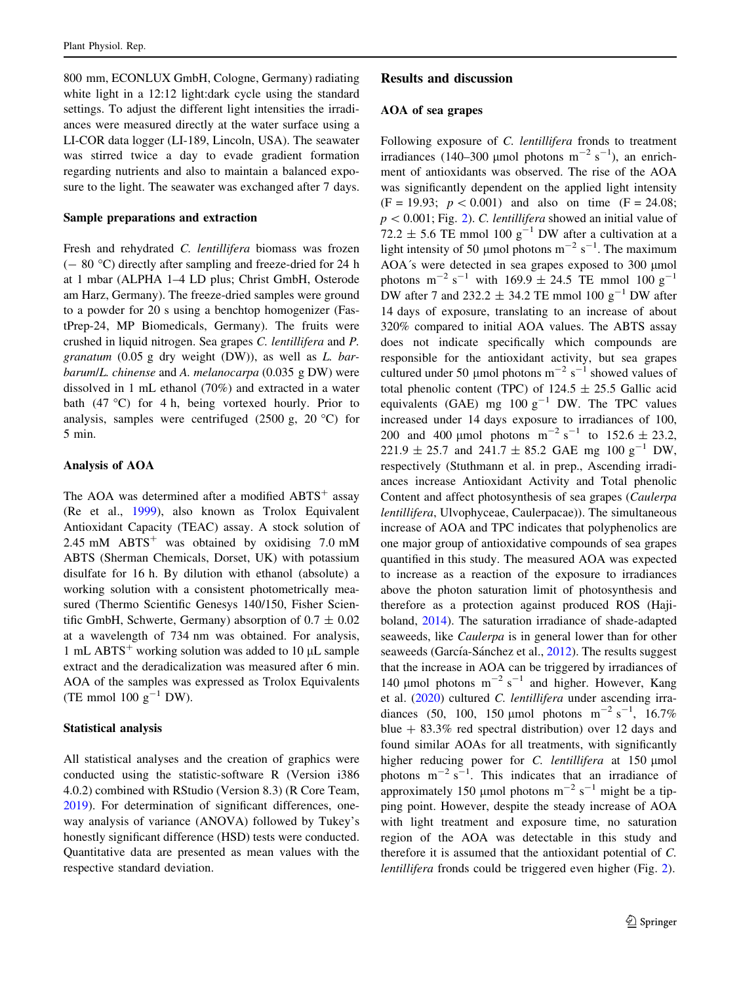800 mm, ECONLUX GmbH, Cologne, Germany) radiating white light in a 12:12 light:dark cycle using the standard settings. To adjust the different light intensities the irradiances were measured directly at the water surface using a LI-COR data logger (LI-189, Lincoln, USA). The seawater was stirred twice a day to evade gradient formation regarding nutrients and also to maintain a balanced exposure to the light. The seawater was exchanged after 7 days.

#### Sample preparations and extraction

Fresh and rehydrated C. lentillifera biomass was frozen  $(- 80 °C)$  directly after sampling and freeze-dried for 24 h at 1 mbar (ALPHA 1–4 LD plus; Christ GmbH, Osterode am Harz, Germany). The freeze-dried samples were ground to a powder for 20 s using a benchtop homogenizer (FastPrep-24, MP Biomedicals, Germany). The fruits were crushed in liquid nitrogen. Sea grapes C. lentillifera and P. granatum  $(0.05$  g dry weight  $(DW)$ ), as well as *L. bar*barum/L. chinense and A. melanocarpa (0.035 g DW) were dissolved in 1 mL ethanol (70%) and extracted in a water bath (47  $^{\circ}$ C) for 4 h, being vortexed hourly. Prior to analysis, samples were centrifuged (2500 g, 20 $\degree$ C) for 5 min.

## Analysis of AOA

The AOA was determined after a modified  $ABTS^+$  assay (Re et al., [1999](#page-5-0)), also known as Trolox Equivalent Antioxidant Capacity (TEAC) assay. A stock solution of 2.45 mM  $ABTS<sup>+</sup>$  was obtained by oxidising 7.0 mM ABTS (Sherman Chemicals, Dorset, UK) with potassium disulfate for 16 h. By dilution with ethanol (absolute) a working solution with a consistent photometrically measured (Thermo Scientific Genesys 140/150, Fisher Scientific GmbH, Schwerte, Germany) absorption of  $0.7 \pm 0.02$ at a wavelength of 734 nm was obtained. For analysis, 1 mL ABTS<sup>+</sup> working solution was added to 10  $\mu$ L sample extract and the deradicalization was measured after 6 min. AOA of the samples was expressed as Trolox Equivalents (TE mmol 100  $g^{-1}$  DW).

### Statistical analysis

All statistical analyses and the creation of graphics were conducted using the statistic-software R (Version i386 4.0.2) combined with RStudio (Version 8.3) (R Core Team, [2019\)](#page-4-0). For determination of significant differences, oneway analysis of variance (ANOVA) followed by Tukey's honestly significant difference (HSD) tests were conducted. Quantitative data are presented as mean values with the respective standard deviation.

## Results and discussion

#### AOA of sea grapes

Following exposure of C. lentillifera fronds to treatment irradiances (140–300 µmol photons  $m^{-2}$  s<sup>-1</sup>), an enrichment of antioxidants was observed. The rise of the AOA was significantly dependent on the applied light intensity  $(F = 19.93; p < 0.001)$  and also on time  $(F = 24.08;$  $p < 0.001$ ; Fig. [2](#page-3-0)). C. lentillifera showed an initial value of 72.2  $\pm$  5.6 TE mmol 100 g<sup>-1</sup> DW after a cultivation at a light intensity of 50 µmol photons  $m^{-2}$  s<sup>-1</sup>. The maximum AOA's were detected in sea grapes exposed to 300 µmol photons  $m^{-2} s^{-1}$  with 169.9  $\pm$  24.5 TE mmol 100  $g^{-1}$ DW after 7 and 232.2  $\pm$  34.2 TE mmol 100 g<sup>-1</sup> DW after 14 days of exposure, translating to an increase of about 320% compared to initial AOA values. The ABTS assay does not indicate specifically which compounds are responsible for the antioxidant activity, but sea grapes cultured under 50 µmol photons  $m^{-2}$  s<sup>-1</sup> showed values of total phenolic content (TPC) of  $124.5 \pm 25.5$  Gallic acid equivalents (GAE) mg  $100 \text{ g}^{-1}$  DW. The TPC values increased under 14 days exposure to irradiances of 100, 200 and 400 µmol photons  $m^{-2} s^{-1}$  to 152.6 ± 23.2,  $221.9 \pm 25.7$  and  $241.7 \pm 85.2$  GAE mg  $100 \text{ g}^{-1}$  DW, respectively (Stuthmann et al. in prep., Ascending irradiances increase Antioxidant Activity and Total phenolic Content and affect photosynthesis of sea grapes (Caulerpa lentillifera, Ulvophyceae, Caulerpacae)). The simultaneous increase of AOA and TPC indicates that polyphenolics are one major group of antioxidative compounds of sea grapes quantified in this study. The measured AOA was expected to increase as a reaction of the exposure to irradiances above the photon saturation limit of photosynthesis and therefore as a protection against produced ROS (Hajiboland, [2014](#page-4-0)). The saturation irradiance of shade-adapted seaweeds, like Caulerpa is in general lower than for other seaweeds (García-Sánchez et al., [2012\)](#page-4-0). The results suggest that the increase in AOA can be triggered by irradiances of 140 µmol photons  $m^{-2} s^{-1}$  and higher. However, Kang et al. [\(2020\)](#page-4-0) cultured C. lentillifera under ascending irradiances (50, 100, 150 µmol photons  $m^{-2} s^{-1}$ , 16.7% blue  $+ 83.3\%$  red spectral distribution) over 12 days and found similar AOAs for all treatments, with significantly higher reducing power for  $C$ . *lentillifera* at 150  $\mu$ mol photons  $m^{-2} s^{-1}$ . This indicates that an irradiance of approximately 150 µmol photons  $m^{-2}$  s<sup>-1</sup> might be a tipping point. However, despite the steady increase of AOA with light treatment and exposure time, no saturation region of the AOA was detectable in this study and therefore it is assumed that the antioxidant potential of C. lentillifera fronds could be triggered even higher (Fig. [2](#page-3-0)).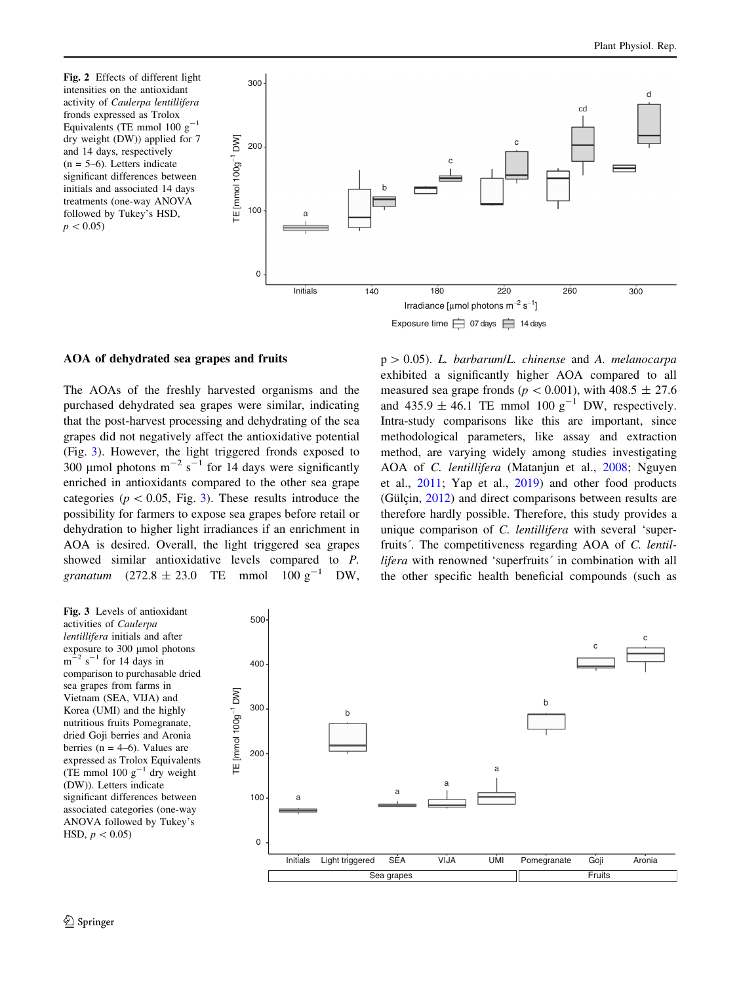<span id="page-3-0"></span>Fig. 2 Effects of different light intensities on the antioxidant activity of Caulerpa lentillifera fronds expressed as Trolox Equivalents (TE mmol 100  $g^{-1}$ dry weight (DW)) applied for 7 and 14 days, respectively  $(n = 5-6)$ . Letters indicate significant differences between initials and associated 14 days treatments (one-way ANOVA followed by Tukey's HSD,  $p < 0.05$ 





#### AOA of dehydrated sea grapes and fruits

The AOAs of the freshly harvested organisms and the purchased dehydrated sea grapes were similar, indicating that the post-harvest processing and dehydrating of the sea grapes did not negatively affect the antioxidative potential (Fig. 3). However, the light triggered fronds exposed to 300 µmol photons  $m^{-2}$  s<sup>-1</sup> for 14 days were significantly enriched in antioxidants compared to the other sea grape categories ( $p < 0.05$ , Fig. 3). These results introduce the possibility for farmers to expose sea grapes before retail or dehydration to higher light irradiances if an enrichment in AOA is desired. Overall, the light triggered sea grapes showed similar antioxidative levels compared to P. granatum  $(272.8 \pm 23.0$  TE mmol  $100 \text{ g}^{-1}$  DW,  $p > 0.05$ ). L. barbarum/L. chinense and A. melanocarpa exhibited a significantly higher AOA compared to all measured sea grape fronds ( $p \lt 0.001$ ), with 408.5  $\pm$  27.6 and  $435.9 \pm 46.1$  TE mmol  $100 \text{ g}^{-1}$  DW, respectively. Intra-study comparisons like this are important, since methodological parameters, like assay and extraction method, are varying widely among studies investigating AOA of C. lentillifera (Matanjun et al., [2008;](#page-4-0) Nguyen et al., [2011](#page-4-0); Yap et al., [2019\)](#page-5-0) and other food products (Gülçin,  $2012$ ) and direct comparisons between results are therefore hardly possible. Therefore, this study provides a unique comparison of C. lentillifera with several 'superfruits'. The competitiveness regarding AOA of C. lentillifera with renowned 'superfruits' in combination with all the other specific health beneficial compounds (such as

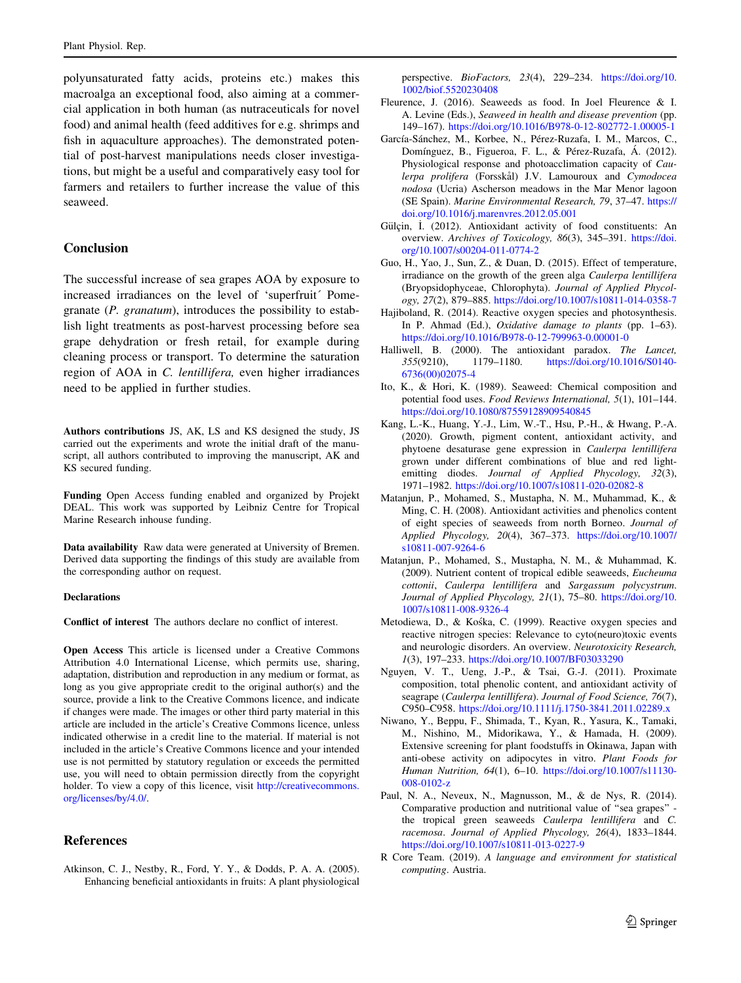<span id="page-4-0"></span>polyunsaturated fatty acids, proteins etc.) makes this macroalga an exceptional food, also aiming at a commercial application in both human (as nutraceuticals for novel food) and animal health (feed additives for e.g. shrimps and fish in aquaculture approaches). The demonstrated potential of post-harvest manipulations needs closer investigations, but might be a useful and comparatively easy tool for farmers and retailers to further increase the value of this seaweed.

## Conclusion

The successful increase of sea grapes AOA by exposure to increased irradiances on the level of 'superfruit' Pomegranate (P. granatum), introduces the possibility to establish light treatments as post-harvest processing before sea grape dehydration or fresh retail, for example during cleaning process or transport. To determine the saturation region of AOA in C. lentillifera, even higher irradiances need to be applied in further studies.

Authors contributions JS, AK, LS and KS designed the study, JS carried out the experiments and wrote the initial draft of the manuscript, all authors contributed to improving the manuscript, AK and KS secured funding.

Funding Open Access funding enabled and organized by Projekt DEAL. This work was supported by Leibniz Centre for Tropical Marine Research inhouse funding.

Data availability Raw data were generated at University of Bremen. Derived data supporting the findings of this study are available from the corresponding author on request.

#### Declarations

Conflict of interest The authors declare no conflict of interest.

Open Access This article is licensed under a Creative Commons Attribution 4.0 International License, which permits use, sharing, adaptation, distribution and reproduction in any medium or format, as long as you give appropriate credit to the original author(s) and the source, provide a link to the Creative Commons licence, and indicate if changes were made. The images or other third party material in this article are included in the article's Creative Commons licence, unless indicated otherwise in a credit line to the material. If material is not included in the article's Creative Commons licence and your intended use is not permitted by statutory regulation or exceeds the permitted use, you will need to obtain permission directly from the copyright holder. To view a copy of this licence, visit [http://creativecommons.](http://creativecommons.org/licenses/by/4.0/) [org/licenses/by/4.0/.](http://creativecommons.org/licenses/by/4.0/)

## References

Atkinson, C. J., Nestby, R., Ford, Y. Y., & Dodds, P. A. A. (2005). Enhancing beneficial antioxidants in fruits: A plant physiological perspective. BioFactors, 23(4), 229-234. [https://doi.org/10.](https://doi.org/10.1002/biof.5520230408) [1002/biof.5520230408](https://doi.org/10.1002/biof.5520230408)

- Fleurence, J. (2016). Seaweeds as food. In Joel Fleurence & I. A. Levine (Eds.), Seaweed in health and disease prevention (pp. 149–167). <https://doi.org/10.1016/B978-0-12-802772-1.00005-1>
- García-Sánchez, M., Korbee, N., Pérez-Ruzafa, I. M., Marcos, C., Domínguez, B., Figueroa, F. L., & Pérez-Ruzafa, Á. (2012). Physiological response and photoacclimation capacity of Caulerpa prolifera (Forsskål) J.V. Lamouroux and Cymodocea nodosa (Ucria) Ascherson meadows in the Mar Menor lagoon (SE Spain). Marine Environmental Research, 79, 37–47. [https://](https://doi.org/10.1016/j.marenvres.2012.05.001) [doi.org/10.1016/j.marenvres.2012.05.001](https://doi.org/10.1016/j.marenvres.2012.05.001)
- Gülcin, I. (2012). Antioxidant activity of food constituents: An overview. Archives of Toxicology, 86(3), 345–391. [https://doi.](https://doi.org/10.1007/s00204-011-0774-2) [org/10.1007/s00204-011-0774-2](https://doi.org/10.1007/s00204-011-0774-2)
- Guo, H., Yao, J., Sun, Z., & Duan, D. (2015). Effect of temperature, irradiance on the growth of the green alga Caulerpa lentillifera (Bryopsidophyceae, Chlorophyta). Journal of Applied Phycology, 27(2), 879–885. <https://doi.org/10.1007/s10811-014-0358-7>
- Hajiboland, R. (2014). Reactive oxygen species and photosynthesis. In P. Ahmad (Ed.), Oxidative damage to plants (pp. 1–63). <https://doi.org/10.1016/B978-0-12-799963-0.00001-0>
- Halliwell, B. (2000). The antioxidant paradox. The Lancet, 355(9210), 1179–1180. [https://doi.org/10.1016/S0140-](https://doi.org/10.1016/S0140-6736(00)02075-4) [6736\(00\)02075-4](https://doi.org/10.1016/S0140-6736(00)02075-4)
- Ito, K., & Hori, K. (1989). Seaweed: Chemical composition and potential food uses. Food Reviews International, 5(1), 101–144. <https://doi.org/10.1080/87559128909540845>
- Kang, L.-K., Huang, Y.-J., Lim, W.-T., Hsu, P.-H., & Hwang, P.-A. (2020). Growth, pigment content, antioxidant activity, and phytoene desaturase gene expression in Caulerpa lentillifera grown under different combinations of blue and red lightemitting diodes. Journal of Applied Phycology, 32(3), 1971–1982. <https://doi.org/10.1007/s10811-020-02082-8>
- Matanjun, P., Mohamed, S., Mustapha, N. M., Muhammad, K., & Ming, C. H. (2008). Antioxidant activities and phenolics content of eight species of seaweeds from north Borneo. Journal of Applied Phycology, 20(4), 367–373. [https://doi.org/10.1007/](https://doi.org/10.1007/s10811-007-9264-6) [s10811-007-9264-6](https://doi.org/10.1007/s10811-007-9264-6)
- Matanjun, P., Mohamed, S., Mustapha, N. M., & Muhammad, K. (2009). Nutrient content of tropical edible seaweeds, Eucheuma cottonii, Caulerpa lentillifera and Sargassum polycystrum. Journal of Applied Phycology, 21(1), 75-80. [https://doi.org/10.](https://doi.org/10.1007/s10811-008-9326-4) [1007/s10811-008-9326-4](https://doi.org/10.1007/s10811-008-9326-4)
- Metodiewa, D., & Kośka, C. (1999). Reactive oxygen species and reactive nitrogen species: Relevance to cyto(neuro)toxic events and neurologic disorders. An overview. Neurotoxicity Research, 1(3), 197–233. <https://doi.org/10.1007/BF03033290>
- Nguyen, V. T., Ueng, J.-P., & Tsai, G.-J. (2011). Proximate composition, total phenolic content, and antioxidant activity of seagrape (Caulerpa lentillifera). Journal of Food Science, 76(7), C950–C958. <https://doi.org/10.1111/j.1750-3841.2011.02289.x>
- Niwano, Y., Beppu, F., Shimada, T., Kyan, R., Yasura, K., Tamaki, M., Nishino, M., Midorikawa, Y., & Hamada, H. (2009). Extensive screening for plant foodstuffs in Okinawa, Japan with anti-obese activity on adipocytes in vitro. Plant Foods for Human Nutrition, 64(1), 6–10. [https://doi.org/10.1007/s11130-](https://doi.org/10.1007/s11130-008-0102-z) [008-0102-z](https://doi.org/10.1007/s11130-008-0102-z)
- Paul, N. A., Neveux, N., Magnusson, M., & de Nys, R. (2014). Comparative production and nutritional value of ''sea grapes'' the tropical green seaweeds Caulerpa lentillifera and C. racemosa. Journal of Applied Phycology, 26(4), 1833–1844. <https://doi.org/10.1007/s10811-013-0227-9>
- R Core Team. (2019). A language and environment for statistical computing. Austria.